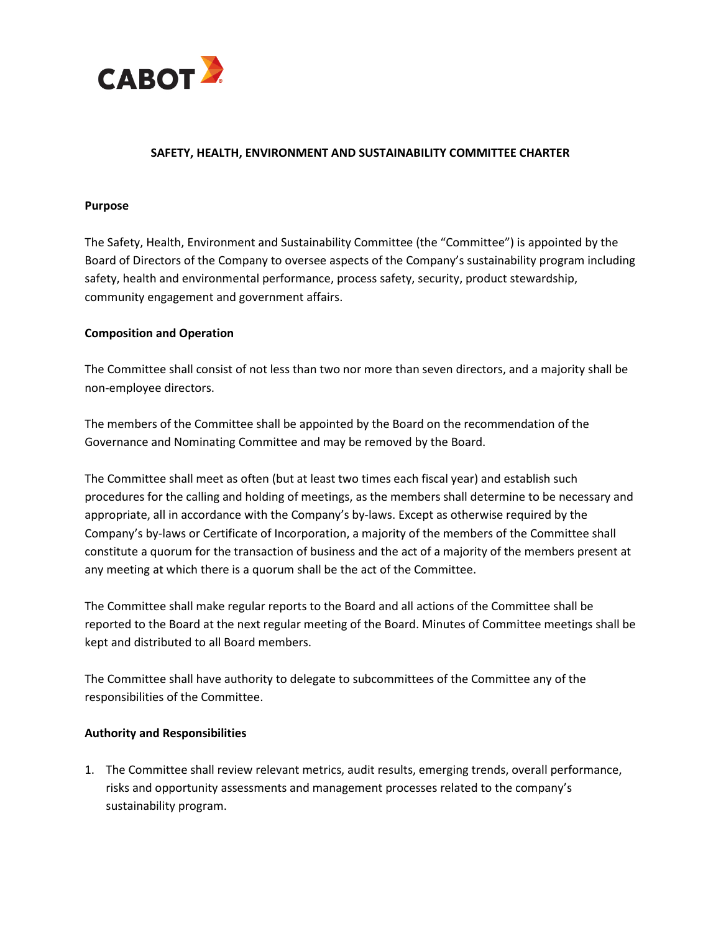

## **SAFETY, HEALTH, ENVIRONMENT AND SUSTAINABILITY COMMITTEE CHARTER**

## **Purpose**

The Safety, Health, Environment and Sustainability Committee (the "Committee") is appointed by the Board of Directors of the Company to oversee aspects of the Company's sustainability program including safety, health and environmental performance, process safety, security, product stewardship, community engagement and government affairs.

## **Composition and Operation**

The Committee shall consist of not less than two nor more than seven directors, and a majority shall be non-employee directors.

The members of the Committee shall be appointed by the Board on the recommendation of the Governance and Nominating Committee and may be removed by the Board.

The Committee shall meet as often (but at least two times each fiscal year) and establish such procedures for the calling and holding of meetings, as the members shall determine to be necessary and appropriate, all in accordance with the Company's by-laws. Except as otherwise required by the Company's by-laws or Certificate of Incorporation, a majority of the members of the Committee shall constitute a quorum for the transaction of business and the act of a majority of the members present at any meeting at which there is a quorum shall be the act of the Committee.

The Committee shall make regular reports to the Board and all actions of the Committee shall be reported to the Board at the next regular meeting of the Board. Minutes of Committee meetings shall be kept and distributed to all Board members.

The Committee shall have authority to delegate to subcommittees of the Committee any of the responsibilities of the Committee.

## **Authority and Responsibilities**

1. The Committee shall review relevant metrics, audit results, emerging trends, overall performance, risks and opportunity assessments and management processes related to the company's sustainability program.